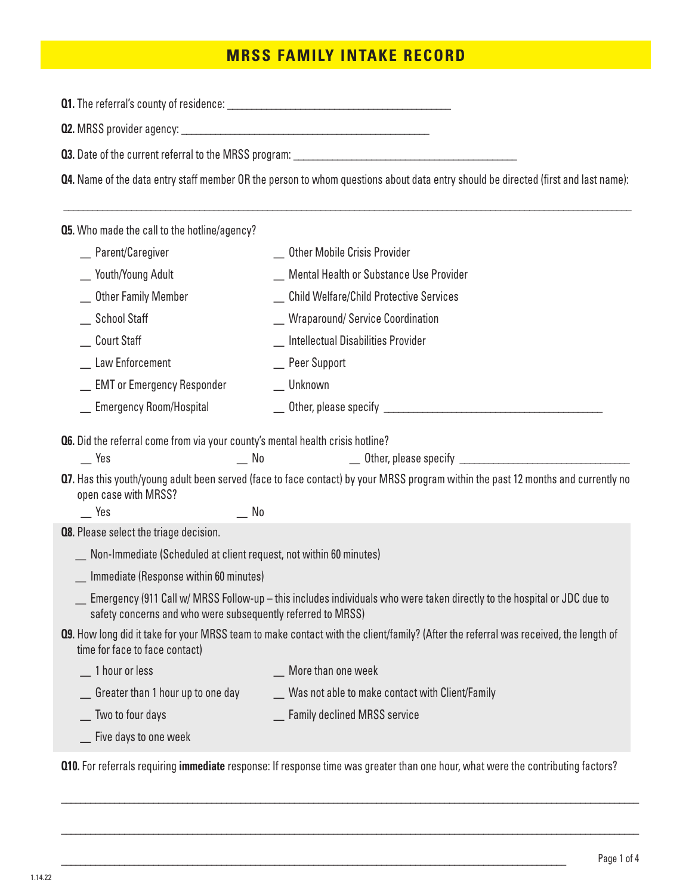## **MRSS FAMILY INTAKE RECORD**

**Q1.** The referral's county of residence: \_\_\_\_\_\_\_\_\_\_\_\_\_\_\_\_\_\_\_\_\_\_\_\_\_\_\_\_\_\_\_\_\_\_\_\_\_\_\_\_\_\_\_\_\_\_

**Q2.** MRSS provider agency: \_\_\_\_\_\_\_\_\_\_\_\_\_\_\_\_\_\_\_\_\_\_\_\_\_\_\_\_\_\_\_\_\_\_\_\_\_\_\_\_\_\_\_\_\_\_\_\_\_\_\_

**Q3.** Date of the current referral to the MRSS program: \_\_\_\_\_\_\_\_\_\_\_\_\_\_\_\_\_\_\_\_\_\_\_\_\_

**Q4.** Name of the data entry staff member OR the person to whom questions about data entry should be directed (first and last name):

\_\_\_\_\_\_\_\_\_\_\_\_\_\_\_\_\_\_\_\_\_\_\_\_\_\_\_\_\_\_\_\_\_\_\_\_\_\_\_\_\_\_\_\_\_\_\_\_\_\_\_\_\_\_\_\_\_\_\_\_\_\_\_\_\_\_\_\_\_\_\_\_\_\_\_\_\_\_\_\_\_\_\_\_\_\_\_\_\_\_\_\_\_\_\_\_\_\_\_\_\_\_\_\_\_\_\_\_\_\_\_\_\_\_\_\_\_

**Q5.** Who made the call to the hotline/agency?

| _ Parent/Caregiver                                                                    | <b>Other Mobile Crisis Provider</b>       |
|---------------------------------------------------------------------------------------|-------------------------------------------|
| _ Youth/Young Adult                                                                   | Mental Health or Substance Use Provider   |
| _ Other Family Member                                                                 | _ Child Welfare/Child Protective Services |
| School Staff                                                                          | _ Wraparound/Service Coordination         |
| Court Staff                                                                           | Intellectual Disabilities Provider        |
| Law Enforcement                                                                       | _ Peer Support                            |
| _ EMT or Emergency Responder                                                          | Unknown                                   |
| _ Emergency Room/Hospital                                                             |                                           |
|                                                                                       |                                           |
| <b>Q6.</b> Did the referral come from via your county's mental health crisis hotline? |                                           |
| Yes                                                                                   | _ Other, please specify<br>N0             |

**Q7.** Has this youth/young adult been served (face to face contact) by your MRSS program within the past 12 months and currently no open case with MRSS?

Yes Mo

**Q8.** Please select the triage decision.

\_ Non-Immediate (Scheduled at client request, not within 60 minutes)

\_ Immediate (Response within 60 minutes)

- \_ Emergency (911 Call w/ MRSS Follow-up this includes individuals who were taken directly to the hospital or JDC due to safety concerns and who were subsequently referred to MRSS)
- **Q9.** How long did it take for your MRSS team to make contact with the client/family? (After the referral was received, the length of time for face to face contact)
	- \_ More than one week \_ Was not able to make contact with Client/Family \_ 1 hour or less \_ Greater than 1 hour up to one day

\_ Two to four days

\_ Five days to one week

**Q10.** For referrals requiring **immediate** response: If response time was greater than one hour, what were the contributing factors?

\_\_\_\_\_\_\_\_\_\_\_\_\_\_\_\_\_\_\_\_\_\_\_\_\_\_\_\_\_\_\_\_\_\_\_\_\_\_\_\_\_\_\_\_\_\_\_\_\_\_\_\_\_\_\_\_\_\_\_\_\_\_\_\_\_\_\_\_\_\_\_\_\_\_\_\_\_\_\_\_\_\_\_\_\_\_\_\_\_\_\_\_\_\_\_\_\_\_\_\_\_\_\_\_\_\_\_\_\_\_\_\_\_\_\_\_\_\_\_

\_\_\_\_\_\_\_\_\_\_\_\_\_\_\_\_\_\_\_\_\_\_\_\_\_\_\_\_\_\_\_\_\_\_\_\_\_\_\_\_\_\_\_\_\_\_\_\_\_\_\_\_\_\_\_\_\_\_\_\_\_\_\_\_\_\_\_\_\_\_\_\_\_\_\_\_\_\_\_\_\_\_\_\_\_\_\_\_\_\_\_\_\_\_\_\_\_\_\_\_\_\_\_\_\_\_\_\_\_\_\_\_\_\_\_\_\_\_\_

\_\_\_\_\_\_\_\_\_\_\_\_\_\_\_\_\_\_\_\_\_\_\_\_\_\_\_\_\_\_\_\_\_\_\_\_\_\_\_\_\_\_\_\_\_\_\_\_\_\_\_\_\_\_\_\_\_\_\_\_\_\_\_\_\_\_\_\_\_\_\_\_\_\_\_\_\_\_\_\_\_\_\_\_\_\_\_\_\_\_\_\_\_\_\_\_\_\_\_\_\_\_\_\_

\_ Family declined MRSS service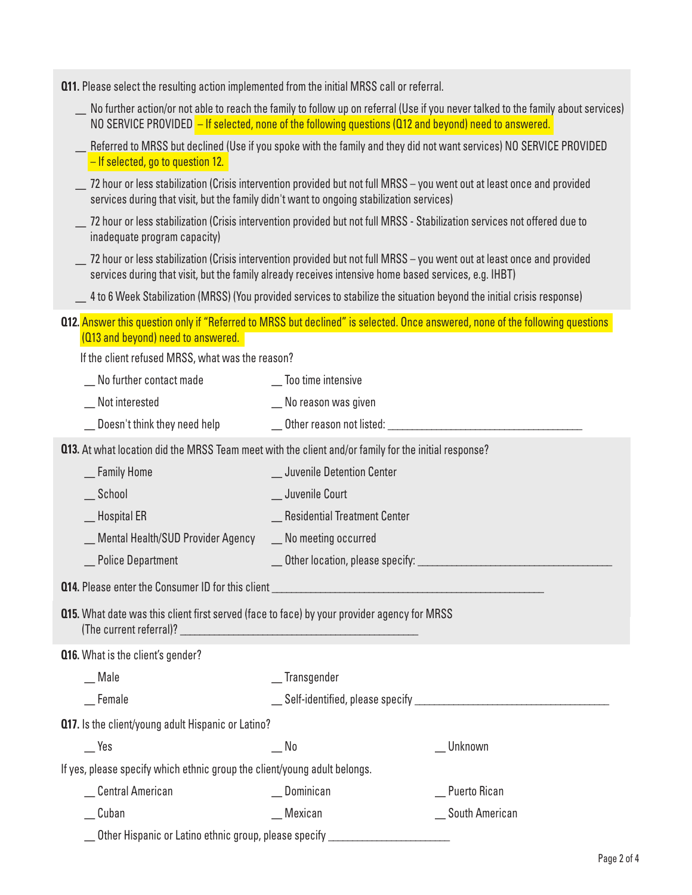|  |  | <b>Q11.</b> Please select the resulting action implemented from the initial MRSS call or referral. |
|--|--|----------------------------------------------------------------------------------------------------|
|  |  |                                                                                                    |

- \_ No further action/or not able to reach the family to follow up on referral (Use if you never talked to the family about services) NO SERVICE PROVIDED - If selected, none of the following questions (Q12 and beyond) need to answered.
- Referred to MRSS but declined (Use if you spoke with the family and they did not want services) NO SERVICE PROVIDED – If selected, go to question 12.
- \_ 72 hour or less stabilization (Crisis intervention provided but not full MRSS you went out at least once and provided services during that visit, but the family didn't want to ongoing stabilization services)
- \_ 72 hour or less stabilization (Crisis intervention provided but not full MRSS Stabilization services not offered due to inadequate program capacity)
- \_ 72 hour or less stabilization (Crisis intervention provided but not full MRSS you went out at least once and provided services during that visit, but the family already receives intensive home based services, e.g. IHBT)
- \_ 4 to 6 Week Stabilization (MRSS) (You provided services to stabilize the situation beyond the initial crisis response)
- **Q12.** Answer this question only if "Referred to MRSS but declined" is selected. Once answered, none of the following questions (Q13 and beyond) need to answered.

If the client refused MRSS, what was the reason?

| וו נווט טווטוונ וטומטטמ וווווטט, וווומנ וועט נווט וטמטטוו                                            |                                |                |
|------------------------------------------------------------------------------------------------------|--------------------------------|----------------|
| __ No further contact made                                                                           | _ Too time intensive           |                |
| _ Not interested                                                                                     | _ No reason was given          |                |
| _ Doesn't think they need help                                                                       |                                |                |
| 013. At what location did the MRSS Team meet with the client and/or family for the initial response? |                                |                |
| _ Family Home                                                                                        | _ Juvenile Detention Center    |                |
| $\_$ School                                                                                          | _ Juvenile Court               |                |
| _Hospital ER                                                                                         | _ Residential Treatment Center |                |
| _ Mental Health/SUD Provider Agency                                                                  | _ No meeting occurred          |                |
| _Police Department<br><u>a sa mga sa</u>                                                             |                                |                |
|                                                                                                      |                                |                |
| <b>Q15.</b> What date was this client first served (face to face) by your provider agency for MRSS   |                                |                |
| <b>Q16.</b> What is the client's gender?                                                             |                                |                |
| $\equiv$ Male                                                                                        | _ Transgender                  |                |
| $\equiv$ Female                                                                                      |                                |                |
| 017. Is the client/young adult Hispanic or Latino?                                                   |                                |                |
| $\mathsf{I}$ Yes                                                                                     | No                             | Unknown        |
| If yes, please specify which ethnic group the client/young adult belongs.                            |                                |                |
| _Central American                                                                                    | $\Box$ Dominican               | _ Puerto Rican |
| $\_$ Cuban                                                                                           | $M$ exican                     | South American |
| Other Hispanic or Latino ethnic group, please specify _                                              |                                |                |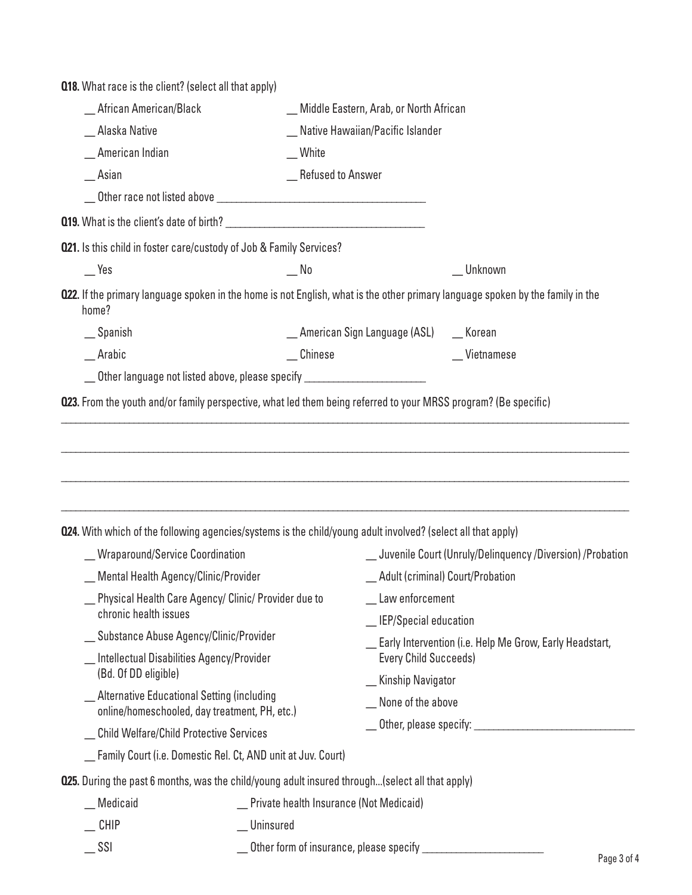| <b>Q18.</b> What race is the client? (select all that apply)                                                        |                                                                                       |                                                             |                                                                                                                                |  |
|---------------------------------------------------------------------------------------------------------------------|---------------------------------------------------------------------------------------|-------------------------------------------------------------|--------------------------------------------------------------------------------------------------------------------------------|--|
| _ African American/Black                                                                                            |                                                                                       | _Middle Eastern, Arab, or North African                     |                                                                                                                                |  |
| _ Alaska Native                                                                                                     |                                                                                       | _ Native Hawaiian/Pacific Islander                          |                                                                                                                                |  |
| _ American Indian                                                                                                   | White                                                                                 |                                                             |                                                                                                                                |  |
| $\equiv$ Asian                                                                                                      | _ Refused to Answer                                                                   |                                                             |                                                                                                                                |  |
|                                                                                                                     |                                                                                       |                                                             |                                                                                                                                |  |
|                                                                                                                     |                                                                                       |                                                             |                                                                                                                                |  |
| 021. Is this child in foster care/custody of Job & Family Services?                                                 |                                                                                       |                                                             |                                                                                                                                |  |
| $\mathsf{I}$ Yes                                                                                                    | $\mathbf{N}$                                                                          |                                                             | _ Unknown                                                                                                                      |  |
| home?                                                                                                               |                                                                                       |                                                             | 022. If the primary language spoken in the home is not English, what is the other primary language spoken by the family in the |  |
| $\equiv$ Spanish                                                                                                    |                                                                                       | _American Sign Language (ASL) __ Korean                     |                                                                                                                                |  |
| $-$ Arabic                                                                                                          | _Chinese                                                                              |                                                             | _Vietnamese                                                                                                                    |  |
|                                                                                                                     | __ Other language not listed above, please specify ____________________________       |                                                             |                                                                                                                                |  |
|                                                                                                                     |                                                                                       |                                                             |                                                                                                                                |  |
| <b>024.</b> With which of the following agencies/systems is the child/young adult involved? (select all that apply) |                                                                                       |                                                             |                                                                                                                                |  |
| _Mraparound/Service Coordination                                                                                    |                                                                                       | _ Juvenile Court (Unruly/Delinquency /Diversion) /Probation |                                                                                                                                |  |
| Mental Health Agency/Clinic/Provider                                                                                |                                                                                       | Adult (criminal) Court/Probation                            |                                                                                                                                |  |
| Physical Health Care Agency/ Clinic/ Provider due to<br>chronic health issues                                       |                                                                                       | _ Law enforcement                                           |                                                                                                                                |  |
|                                                                                                                     | _ Substance Abuse Agency/Clinic/Provider<br>Intellectual Disabilities Agency/Provider |                                                             | _MIEP/Special education                                                                                                        |  |
| (Bd. Of DD eligible)                                                                                                |                                                                                       |                                                             | Early Intervention (i.e. Help Me Grow, Early Headstart,<br><b>Every Child Succeeds)</b>                                        |  |
| _ Alternative Educational Setting (including                                                                        |                                                                                       | _ Kinship Navigator                                         |                                                                                                                                |  |
| online/homeschooled, day treatment, PH, etc.)                                                                       |                                                                                       |                                                             | _ None of the above                                                                                                            |  |
| _ Child Welfare/Child Protective Services                                                                           |                                                                                       |                                                             | __ Other, please specify: _______________________                                                                              |  |
|                                                                                                                     | Family Court (i.e. Domestic Rel. Ct, AND unit at Juv. Court)                          |                                                             |                                                                                                                                |  |
| <b>025.</b> During the past 6 months, was the child/young adult insured through(select all that apply)              |                                                                                       |                                                             |                                                                                                                                |  |
| Medicaid                                                                                                            | Private health Insurance (Not Medicaid)                                               |                                                             |                                                                                                                                |  |
| <b>CHIP</b>                                                                                                         | Uninsured                                                                             |                                                             |                                                                                                                                |  |

\_ SSI \_ Other form of insurance, please specify \_\_\_\_\_\_\_\_\_\_\_\_\_\_\_\_\_\_\_\_\_\_\_\_\_